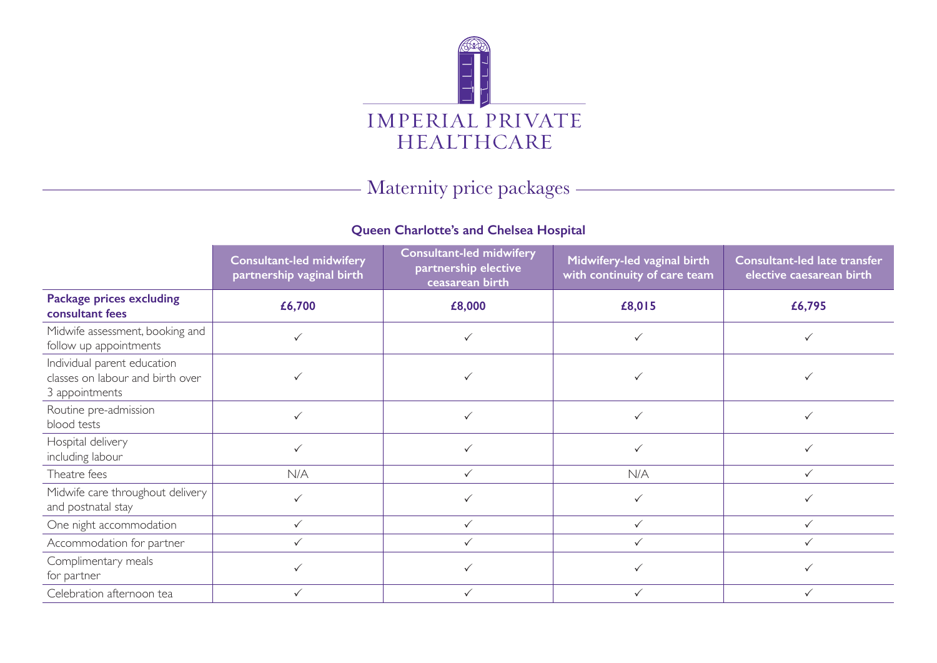

# Maternity price packages

## **Queen Charlotte's and Chelsea Hospital**

|                                                                                   | <b>Consultant-led midwifery</b><br>partnership vaginal birth | <b>Consultant-led midwifery</b><br>partnership elective<br>ceasarean birth | Midwifery-led vaginal birth<br>with continuity of care team | Consultant-led late transfer<br>elective caesarean birth |
|-----------------------------------------------------------------------------------|--------------------------------------------------------------|----------------------------------------------------------------------------|-------------------------------------------------------------|----------------------------------------------------------|
| <b>Package prices excluding</b><br>consultant fees                                | £6,700                                                       | £8,000                                                                     | £8,015                                                      | £6,795                                                   |
| Midwife assessment, booking and<br>follow up appointments                         |                                                              |                                                                            |                                                             |                                                          |
| Individual parent education<br>classes on labour and birth over<br>3 appointments |                                                              |                                                                            |                                                             |                                                          |
| Routine pre-admission<br>blood tests                                              | ✓                                                            |                                                                            |                                                             |                                                          |
| Hospital delivery<br>including labour                                             |                                                              |                                                                            |                                                             |                                                          |
| Theatre fees                                                                      | N/A                                                          | $\checkmark$                                                               | N/A                                                         | $\checkmark$                                             |
| Midwife care throughout delivery<br>and postnatal stay                            |                                                              |                                                                            |                                                             |                                                          |
| One night accommodation                                                           | $\checkmark$                                                 | ✓                                                                          | $\checkmark$                                                |                                                          |
| Accommodation for partner                                                         | $\checkmark$                                                 |                                                                            | $\checkmark$                                                |                                                          |
| Complimentary meals<br>for partner                                                |                                                              |                                                                            |                                                             |                                                          |
| Celebration afternoon tea                                                         |                                                              |                                                                            |                                                             |                                                          |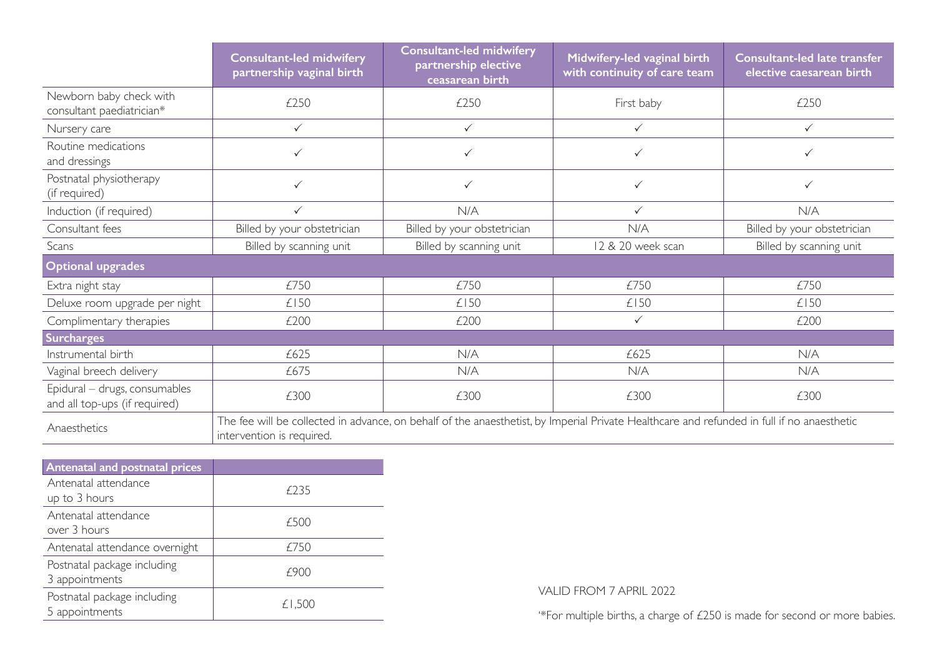|                                                                | Consultant-led midwifery<br>partnership vaginal birth                                                                                                                   | <b>Consultant-led midwifery</b><br>partnership elective<br>ceasarean birth | Midwifery-led vaginal birth<br>with continuity of care team | Consultant-led late transfer<br>elective caesarean birth |  |
|----------------------------------------------------------------|-------------------------------------------------------------------------------------------------------------------------------------------------------------------------|----------------------------------------------------------------------------|-------------------------------------------------------------|----------------------------------------------------------|--|
| Newborn baby check with<br>consultant paediatrician*           | £250                                                                                                                                                                    | £250                                                                       | First baby                                                  | £250                                                     |  |
| Nursery care                                                   | $\checkmark$                                                                                                                                                            | $\checkmark$                                                               | $\checkmark$                                                | $\checkmark$                                             |  |
| Routine medications<br>and dressings                           | $\checkmark$                                                                                                                                                            | $\checkmark$                                                               | $\checkmark$                                                | $\checkmark$                                             |  |
| Postnatal physiotherapy<br>(if required)                       | $\checkmark$                                                                                                                                                            | $\checkmark$                                                               | $\checkmark$                                                | $\checkmark$                                             |  |
| Induction (if required)                                        | $\checkmark$                                                                                                                                                            | N/A                                                                        | $\checkmark$                                                | N/A                                                      |  |
| Consultant fees                                                | Billed by your obstetrician                                                                                                                                             | Billed by your obstetrician                                                | N/A                                                         | Billed by your obstetrician                              |  |
| Scans                                                          | Billed by scanning unit                                                                                                                                                 | Billed by scanning unit                                                    | 12 & 20 week scan                                           | Billed by scanning unit                                  |  |
| <b>Optional upgrades</b>                                       |                                                                                                                                                                         |                                                                            |                                                             |                                                          |  |
| Extra night stay                                               | £750                                                                                                                                                                    | £750                                                                       | £750                                                        | £750                                                     |  |
| Deluxe room upgrade per night                                  | £150                                                                                                                                                                    | £150                                                                       | £150                                                        | £150                                                     |  |
| Complimentary therapies                                        | £200                                                                                                                                                                    | £200                                                                       | $\checkmark$                                                | £200                                                     |  |
| <b>Surcharges</b>                                              |                                                                                                                                                                         |                                                                            |                                                             |                                                          |  |
| Instrumental birth                                             | £625                                                                                                                                                                    | N/A                                                                        | £625                                                        | N/A                                                      |  |
| Vaginal breech delivery                                        | £675                                                                                                                                                                    | N/A                                                                        | N/A                                                         | N/A                                                      |  |
| Epidural - drugs, consumables<br>and all top-ups (if required) | £300                                                                                                                                                                    | £300                                                                       | £300                                                        | £300                                                     |  |
| Anaesthetics                                                   | The fee will be collected in advance, on behalf of the anaesthetist, by Imperial Private Healthcare and refunded in full if no anaesthetic<br>intervention is required. |                                                                            |                                                             |                                                          |  |

| <b>Antenatal and postnatal prices</b> |        |  |  |
|---------------------------------------|--------|--|--|
| Antenatal attendance                  | f235   |  |  |
| up to 3 hours                         |        |  |  |
| Antenatal attendance                  | £500   |  |  |
| over 3 hours                          |        |  |  |
| Antenatal attendance overnight        | £750   |  |  |
| Postnatal package including           | 790C   |  |  |
| 3 appointments                        |        |  |  |
| Postnatal package including           | £1,500 |  |  |
| 5 appointments                        |        |  |  |

VALID FROM 7 APRIL 2022

'\*For multiple births, a charge of £250 is made for second or more babies.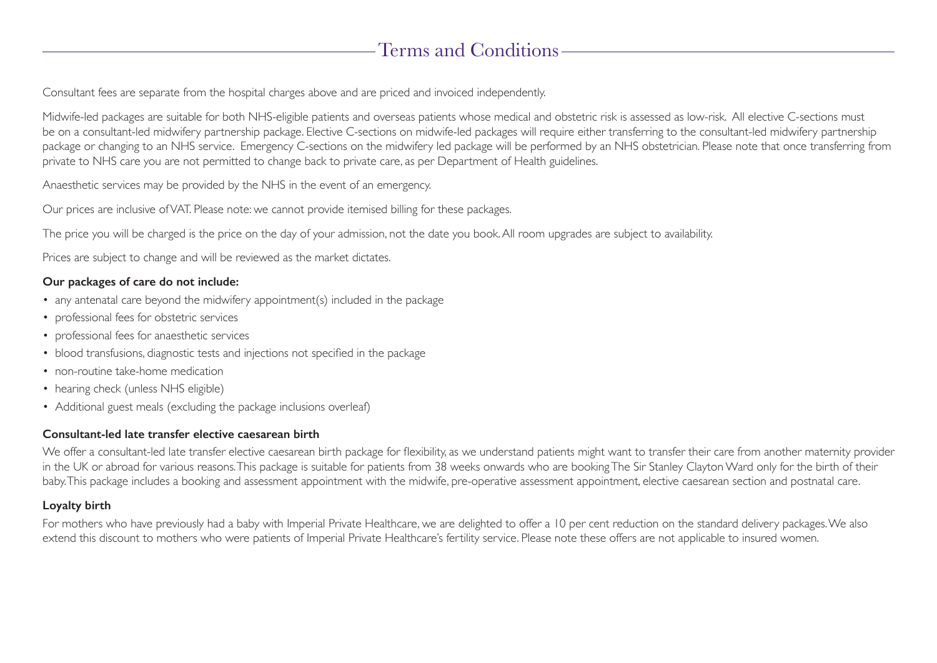# Terms and Conditions

Consultant fees are separate from the hospital charges above and are priced and invoiced independently.

Midwife-led packages are suitable for both NHS-eligible patients and overseas patients whose medical and obstetric risk is assessed as low-risk. All elective C-sections must be on a consultant-led midwifery partnership package. Elective C-sections on midwife-led packages will require either transferring to the consultant-led midwifery partnership package or changing to an NHS service. Emergency C-sections on the midwifery led package will be performed by an NHS obstetrician. Please note that once transferring from private to NHS care you are not permitted to change back to private care, as per Department of Health guidelines.

Anaesthetic services may be provided by the NHS in the event of an emergency.

Our prices are inclusive of VAT. Please note: we cannot provide itemised billing for these packages.

The price you will be charged is the price on the day of your admission, not the date you book. All room upgrades are subject to availability.

Prices are subject to change and will be reviewed as the market dictates.

### **Our packages of care do not include:**

- any antenatal care beyond the midwifery appointment(s) included in the package
- professional fees for obstetric services
- professional fees for anaesthetic services
- blood transfusions, diagnostic tests and injections not specified in the package
- non-routine take-home medication
- hearing check (unless NHS eligible)
- Additional guest meals (excluding the package inclusions overleaf)

### **Consultant-led late transfer elective caesarean birth**

We offer a consultant-led late transfer elective caesarean birth package for flexibility, as we understand patients might want to transfer their care from another maternity provider in the UK or abroad for various reasons. This package is suitable for patients from 38 weeks onwards who are booking The Sir Stanley Clayton Ward only for the birth of their baby. This package includes a booking and assessment appointment with the midwife, pre-operative assessment appointment, elective caesarean section and postnatal care.

### **Loyalty birth**

For mothers who have previously had a baby with Imperial Private Healthcare, we are delighted to offer a 10 per cent reduction on the standard delivery packages. We also extend this discount to mothers who were patients of Imperial Private Healthcare's fertility service. Please note these offers are not applicable to insured women.